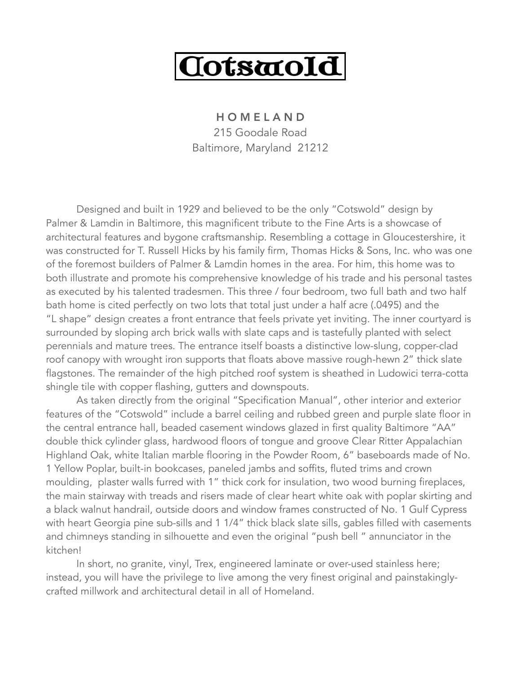

H O M E L A N D 215 Goodale Road Baltimore, Maryland 21212

Designed and built in 1929 and believed to be the only "Cotswold" design by Palmer & Lamdin in Baltimore, this magnificent tribute to the Fine Arts is a showcase of architectural features and bygone craftsmanship. Resembling a cottage in Gloucestershire, it was constructed for T. Russell Hicks by his family firm, Thomas Hicks & Sons, Inc. who was one of the foremost builders of Palmer & Lamdin homes in the area. For him, this home was to both illustrate and promote his comprehensive knowledge of his trade and his personal tastes as executed by his talented tradesmen. This three / four bedroom, two full bath and two half bath home is cited perfectly on two lots that total just under a half acre (.0495) and the "L shape" design creates a front entrance that feels private yet inviting. The inner courtyard is surrounded by sloping arch brick walls with slate caps and is tastefully planted with select perennials and mature trees. The entrance itself boasts a distinctive low-slung, copper-clad roof canopy with wrought iron supports that floats above massive rough-hewn 2" thick slate flagstones. The remainder of the high pitched roof system is sheathed in Ludowici terra-cotta shingle tile with copper flashing, gutters and downspouts.

 As taken directly from the original "Specification Manual", other interior and exterior features of the "Cotswold" include a barrel ceiling and rubbed green and purple slate floor in the central entrance hall, beaded casement windows glazed in first quality Baltimore "AA" double thick cylinder glass, hardwood floors of tongue and groove Clear Ritter Appalachian Highland Oak, white Italian marble flooring in the Powder Room, 6" baseboards made of No. 1 Yellow Poplar, built-in bookcases, paneled jambs and soffits, fluted trims and crown moulding, plaster walls furred with 1" thick cork for insulation, two wood burning fireplaces, the main stairway with treads and risers made of clear heart white oak with poplar skirting and a black walnut handrail, outside doors and window frames constructed of No. 1 Gulf Cypress with heart Georgia pine sub-sills and 1 1/4" thick black slate sills, gables filled with casements and chimneys standing in silhouette and even the original "push bell " annunciator in the kitchen!

 In short, no granite, vinyl, Trex, engineered laminate or over-used stainless here; instead, you will have the privilege to live among the very finest original and painstakinglycrafted millwork and architectural detail in all of Homeland.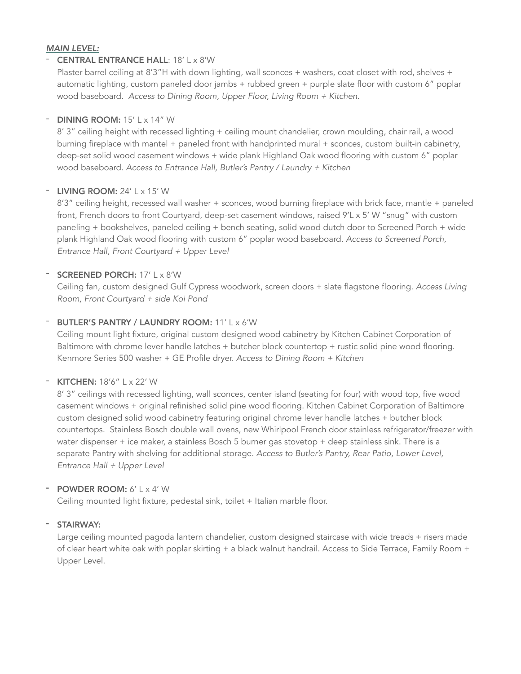# *MAIN LEVEL:*

### - **CENTRAL ENTRANCE HALL:** 18' L x 8'W

Plaster barrel ceiling at 8'3"H with down lighting, wall sconces + washers, coat closet with rod, shelves + automatic lighting, custom paneled door jambs + rubbed green + purple slate floor with custom 6" poplar wood baseboard. *Access to Dining Room, Upper Floor, Living Room + Kitchen.* 

# $-$  DINING ROOM: 15' L  $\times$  14" W

8' 3" ceiling height with recessed lighting + ceiling mount chandelier, crown moulding, chair rail, a wood burning fireplace with mantel + paneled front with handprinted mural + sconces, custom built-in cabinetry, deep-set solid wood casement windows + wide plank Highland Oak wood flooring with custom 6" poplar wood baseboard. *Access to Entrance Hall, Butler's Pantry / Laundry + Kitchen* 

### LIVING ROOM:  $24'$  L  $\times$  15' W

8'3" ceiling height, recessed wall washer + sconces, wood burning fireplace with brick face, mantle + paneled front, French doors to front Courtyard, deep-set casement windows, raised 9'L x 5' W "snug" with custom paneling + bookshelves, paneled ceiling + bench seating, solid wood dutch door to Screened Porch + wide plank Highland Oak wood flooring with custom 6" poplar wood baseboard. *Access to Screened Porch, Entrance Hall, Front Courtyard + Upper Level* 

# - **SCREENED PORCH:** 17' | x 8'W

Ceiling fan, custom designed Gulf Cypress woodwork, screen doors + slate flagstone flooring. *Access Living Room, Front Courtyard + side Koi Pond* 

# BUTLER'S PANTRY / LAUNDRY ROOM: 11' L x 6'W

Ceiling mount light fixture, original custom designed wood cabinetry by Kitchen Cabinet Corporation of Baltimore with chrome lever handle latches + butcher block countertop + rustic solid pine wood flooring. Kenmore Series 500 washer + GE Profile dryer. *Access to Dining Room + Kitchen*

### - KITCHEN: 18'6" L x 22' W

8' 3" ceilings with recessed lighting, wall sconces, center island (seating for four) with wood top, five wood casement windows + original refinished solid pine wood flooring. Kitchen Cabinet Corporation of Baltimore custom designed solid wood cabinetry featuring original chrome lever handle latches + butcher block countertops. Stainless Bosch double wall ovens, new Whirlpool French door stainless refrigerator/freezer with water dispenser + ice maker, a stainless Bosch 5 burner gas stovetop + deep stainless sink. There is a separate Pantry with shelving for additional storage. *Access to Butler's Pantry, Rear Patio, Lower Level, Entrance Hall + Upper Level* 

# - POWDER ROOM: 6' L x 4' W

Ceiling mounted light fixture, pedestal sink, toilet + Italian marble floor.

### - STAIRWAY:

Large ceiling mounted pagoda lantern chandelier, custom designed staircase with wide treads + risers made of clear heart white oak with poplar skirting + a black walnut handrail. Access to Side Terrace, Family Room + Upper Level.